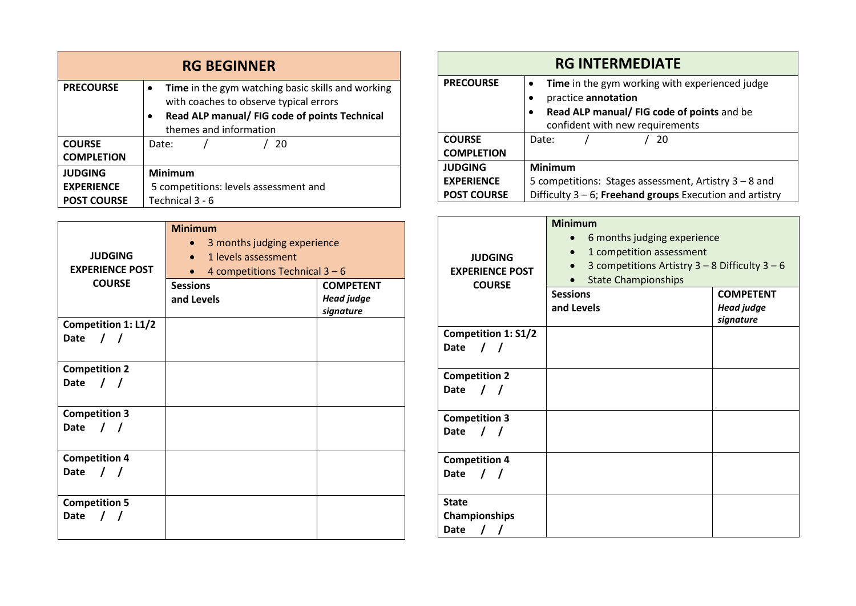| <b>RG BEGINNER</b> |                                                                                                          |  |
|--------------------|----------------------------------------------------------------------------------------------------------|--|
| <b>PRECOURSE</b>   | Time in the gym watching basic skills and working<br>$\bullet$<br>with coaches to observe typical errors |  |
|                    | Read ALP manual/ FIG code of points Technical                                                            |  |
|                    | themes and information                                                                                   |  |
| <b>COURSE</b>      | 20<br>Date:                                                                                              |  |
| <b>COMPLETION</b>  |                                                                                                          |  |
| <b>JUDGING</b>     | <b>Minimum</b>                                                                                           |  |
| <b>EXPERIENCE</b>  | 5 competitions: levels assessment and                                                                    |  |
| <b>POST COURSE</b> | Technical 3 - 6                                                                                          |  |

| <b>JUDGING</b><br><b>EXPERIENCE POST</b>          | <b>Minimum</b><br>3 months judging experience<br>$\bullet$<br>1 levels assessment<br>$\bullet$<br>4 competitions Technical $3 - 6$ |                                                    |
|---------------------------------------------------|------------------------------------------------------------------------------------------------------------------------------------|----------------------------------------------------|
| <b>COURSE</b>                                     | <b>Sessions</b><br>and Levels                                                                                                      | <b>COMPETENT</b><br><b>Head judge</b><br>signature |
| Competition 1: L1/2<br>$\sqrt{1}$<br>Date         |                                                                                                                                    |                                                    |
| <b>Competition 2</b><br>Date                      |                                                                                                                                    |                                                    |
| <b>Competition 3</b><br>$\prime$ $\prime$<br>Date |                                                                                                                                    |                                                    |
| <b>Competition 4</b><br>$\prime$ $\prime$<br>Date |                                                                                                                                    |                                                    |
| <b>Competition 5</b><br>Date<br>$\prime$ $\prime$ |                                                                                                                                    |                                                    |

| <b>RG INTERMEDIATE</b> |                                                             |  |  |
|------------------------|-------------------------------------------------------------|--|--|
| <b>PRECOURSE</b>       | Time in the gym working with experienced judge              |  |  |
|                        | practice annotation                                         |  |  |
|                        | Read ALP manual/ FIG code of points and be                  |  |  |
|                        | confident with new requirements                             |  |  |
| <b>COURSE</b>          | Date:<br>-20                                                |  |  |
| <b>COMPLETION</b>      |                                                             |  |  |
| <b>JUDGING</b>         | <b>Minimum</b>                                              |  |  |
| <b>EXPERIENCE</b>      | 5 competitions: Stages assessment, Artistry 3 - 8 and       |  |  |
| <b>POST COURSE</b>     | Difficulty $3 - 6$ ; Freehand groups Execution and artistry |  |  |

| <b>JUDGING</b><br><b>EXPERIENCE POST</b><br><b>COURSE</b> | <b>Minimum</b><br>6 months judging experience<br>1 competition assessment<br>$\bullet$<br>3 competitions Artistry $3 - 8$ Difficulty $3 - 6$<br><b>State Championships</b> |                                                    |
|-----------------------------------------------------------|----------------------------------------------------------------------------------------------------------------------------------------------------------------------------|----------------------------------------------------|
|                                                           | <b>Sessions</b><br>and Levels                                                                                                                                              | <b>COMPETENT</b><br><b>Head judge</b><br>signature |
| <b>Competition 1: S1/2</b><br><b>Date</b><br>$\sqrt{ }$   |                                                                                                                                                                            |                                                    |
| <b>Competition 2</b><br><b>Date</b><br>$\sqrt{ }$         |                                                                                                                                                                            |                                                    |
| <b>Competition 3</b><br><b>Date</b>                       |                                                                                                                                                                            |                                                    |
| <b>Competition 4</b><br><b>Date</b><br>$\prime$           |                                                                                                                                                                            |                                                    |
| <b>State</b><br>Championships<br><b>Date</b>              |                                                                                                                                                                            |                                                    |